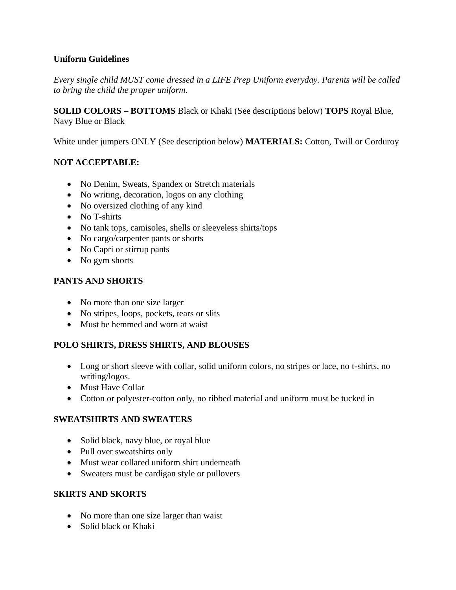## **Uniform Guidelines**

*Every single child MUST come dressed in a LIFE Prep Uniform everyday. Parents will be called to bring the child the proper uniform.* 

**SOLID COLORS – BOTTOMS** Black or Khaki (See descriptions below) **TOPS** Royal Blue, Navy Blue or Black

White under jumpers ONLY (See description below) **MATERIALS:** Cotton, Twill or Corduroy

# **NOT ACCEPTABLE:**

- No Denim, Sweats, Spandex or Stretch materials
- No writing, decoration, logos on any clothing
- No oversized clothing of any kind
- No T-shirts
- No tank tops, camisoles, shells or sleeveless shirts/tops
- No cargo/carpenter pants or shorts
- No Capri or stirrup pants
- No gym shorts

# **PANTS AND SHORTS**

- No more than one size larger
- No stripes, loops, pockets, tears or slits
- Must be hemmed and worn at waist

# **POLO SHIRTS, DRESS SHIRTS, AND BLOUSES**

- Long or short sleeve with collar, solid uniform colors, no stripes or lace, no t-shirts, no writing/logos.
- Must Have Collar
- Cotton or polyester-cotton only, no ribbed material and uniform must be tucked in

## **SWEATSHIRTS AND SWEATERS**

- Solid black, navy blue, or royal blue
- Pull over sweatshirts only
- Must wear collared uniform shirt underneath
- Sweaters must be cardigan style or pullovers

## **SKIRTS AND SKORTS**

- No more than one size larger than waist
- Solid black or Khaki